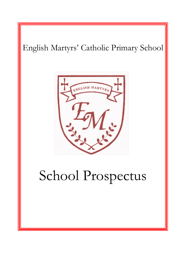# English Martyrs' Catholic Primary School eNGLISH MARTYRE School Prospectus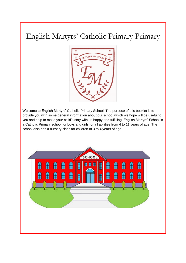# English Martyrs' Catholic Primary Primary



Welcome to English Martyrs' Catholic Primary School. The purpose of this booklet is to provide you with some general information about our school which we hope will be useful to you and help to make your child's stay with us happy and fulfilling. English Martyrs' School is a Catholic Primary school for boys and girls for all abilities from 4 to 11 years of age. The school also has a nursery class for children of 3 to 4 years of age.

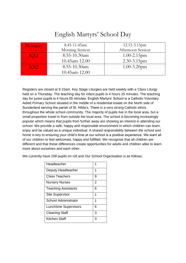## English Martyrs' School Day

| <b>Nursery</b>  | 8.45-11.45am      | 12.15-3.15pm      |  |  |
|-----------------|-------------------|-------------------|--|--|
|                 | Morning Session   | Afternoon Session |  |  |
| <b>KSA</b>      | 8.55-10.30am      | $1.00 - 2.15$ pm  |  |  |
|                 | 10.45am-12.00     | $2.30 - 3.15$ pm  |  |  |
| KS <sub>2</sub> | $8.55 - 10.30$ am | $1.00 - 3.20$ pm  |  |  |
|                 | 10.45am-12.00     |                   |  |  |

Registers are closed at 9.15am. Key Stage Liturgies are held weekly with a Class Liturgy held on a Thursday. The teaching day for infant pupils is 4 hours 25 minutes. The teaching day for junior pupils is 4 hours 55 minutes. English Martyrs' School is a Catholic Voluntary Aided Primary School situated in the middle of a residential estate on the North side of Sunderland serving the parish of St. Hilda's. There is a very strong Catholic ethos throughout the whole school community. The majority of pupils live in the local area, but a small proportion travel in from outside the local area. The school is becoming increasingly popular which means that pupils from further away are showing an interest in attending our school. We provide a safe, happy and responsible environment in which children can learn, enjoy and be valued as a unique individual. A shared responsibility between the school and home is key to ensuring your child's time at our school is a positive experience. We want all of our children to feel welcomed, happy and fulfilled. We recognise that all children are different and that these differences create opportunities for adults and children alike to learn more about ourselves and each other.

We currently have 208 pupils on roll and Our School Organisation is as follows:

| Headteacher                  | 1 |
|------------------------------|---|
| Deputy Headteacher           | 1 |
| Class Teachers               | 9 |
| <b>Nursery Nurses</b>        | 2 |
| <b>Teaching Assistants</b>   | 6 |
| <b>Site Supervisor</b>       | 1 |
| <b>School Administrator</b>  | 1 |
| <b>Lunchtime Supervisors</b> | 6 |
| <b>Cleaning Staff</b>        | 3 |
| Kitchen Staff                | 3 |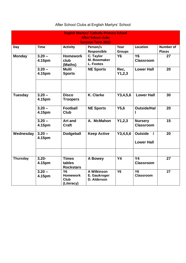| <b>English Martyrs' Catholic Primary School</b><br><b>After School clubs</b><br><b>Summer Term 2022</b> |                    |                                                           |                                            |                       |                                     |                                   |  |
|---------------------------------------------------------------------------------------------------------|--------------------|-----------------------------------------------------------|--------------------------------------------|-----------------------|-------------------------------------|-----------------------------------|--|
| Day                                                                                                     | <b>Time</b>        | <b>Activity</b>                                           | Person/s<br>Responsible                    | Year<br><b>Groups</b> | Location                            | <b>Number of</b><br><b>Places</b> |  |
| <b>Monday</b>                                                                                           | $3.20 -$<br>4.15pm | <b>Homework</b><br>club<br>(Maths)                        | C. Taylor<br>M. Bowmaker<br>L. Footes      | <b>Y6</b>             | $\overline{Y6}$<br><b>Classroom</b> | 27                                |  |
|                                                                                                         | $3.20 -$<br>4.15pm | <b>Multi</b><br><b>Sports</b>                             | <b>NE Sports</b>                           | Rec,<br>Y1, 2, 3      | <b>Lower Hall</b>                   | 20                                |  |
|                                                                                                         |                    |                                                           |                                            |                       |                                     |                                   |  |
| <b>Tuesday</b>                                                                                          | $3.20 -$<br>4.15pm | <b>Disco</b><br><b>Troopers</b>                           | K. Clarke                                  | Y3, 4, 5, 6           | <b>Lower Hall</b>                   | 30                                |  |
|                                                                                                         | $3.20 -$<br>4.15pm | <b>Football</b><br><b>Club</b>                            | <b>NE Sports</b>                           | Y5,6                  | <b>Outside/Hal</b>                  | 20                                |  |
|                                                                                                         | $3.20 -$<br>4.15pm | <b>Art and</b><br><b>Craft</b>                            | A. McMahon                                 | Y1,2,3                | <b>Nursery</b><br><b>Classroom</b>  | 15                                |  |
| Wednesday                                                                                               | $3.20 -$<br>4.15pm | <b>Dodgeball</b>                                          | <b>Keep Active</b>                         | Y3, 4, 5, 6           | Outside /<br><b>Lower Hall</b>      | 20                                |  |
| <b>Thursday</b>                                                                                         | $3.20 -$<br>4.15pm | <b>Times</b><br>tables<br><b>Rockstars</b>                | A Bowey                                    | <b>Y4</b>             | $\overline{Y4}$<br><b>Classroom</b> | 27                                |  |
|                                                                                                         | $3.20 -$<br>4.15pm | <b>Y6</b><br><b>Homework</b><br><b>Club</b><br>(Literacy) | A Wilkinson<br>E. Gaukroger<br>D. Alderson | <b>Y6</b>             | <b>Y6</b><br><b>Classroom</b>       | 27                                |  |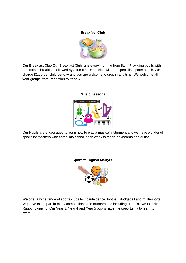### **Breakfast Club**



Our Breakfast Club Our Breakfast Club runs every morning from 8am. Providing pupils with a nutritious breakfast followed by a fun fitness session with our specialist sports coach. We charge £1.50 per child per day and you are welcome to drop in any time. We welcome all year groups from Reception to Year 6.

### **Music Lessons**



Our Pupils are encouraged to learn how to play a musical instrument and we have wonderful specialist teachers who come into school each week to teach Keyboards and guitar.

### **Sport at English Martyrs'**



We offer a wide range of sports clubs to include dance, football, dodgeball and multi-sports. We have taken part in many competitions and tournaments including: Tennis, Kwik Cricket, Rugby, Skipping. Our Year 3, Year 4 and Year 5 pupils have the opportunity to learn to swim.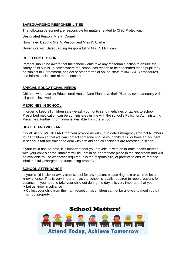### **SAFEGUARDING RESPONSIBILITIES**

The following personnel are responsible for matters related to Child Protection:

Designated Person: Mrs P. Cornell

Nominated Deputy: Mrs A. Pescod and Miss K. Clarke

Governors with Safeguarding Responsibility: Mrs D. Minnican

### **CHILD PROTECTION**

Parents should be aware that the school would take any reasonable action to ensure the safety of its pupils. In cases where the school has reason to be concerned that a pupil may be subject to ill-treatment, neglect or other forms of abuse, staff follow SSCB procedures and inform social care of their concern

### **SPECIAL EDUCATIONAL NEEDS**

Children who have an Educational Health Care Plan have their Plan reviewed annually with all parties involved.

### **MEDICINES IN SCHOOL**

In order to keep all children safe we ask you not to send medicines or tablets to school. Prescribed medication can be administered in line with the school's Policy for Administering Medicines. Further information is available from the school.

### **HEALTH AND WELFARE**

It is VITALLY IMPORTANT that you provide us with up to date Emergency Contact Numbers for all children so that we can contact someone should your child fall ill or have an accident in school. Staff are trained to deal with first aid and all accidents are recorded in school.

If your child has Asthma, it is important that you provide us with an in-date inhaler marked with your child's name. Inhalers will be kept in an appropriate place in the classroom and will be available to use whenever required. It is the responsibility of parents to ensure that the inhaler is fully charged and functioning properly.

### **SCHOOL ATTENDANCE**

If your child is sick or away from school for any reason, please ring, text or write to let us know at once. This is very important, as the school is legally required to report reasons for absence. If you need to take your child out during the day, it is very important that you:

- ♦ Let us know in advance
- ♦ Collect your child from the main reception as children cannot be allowed to meet you off school property.

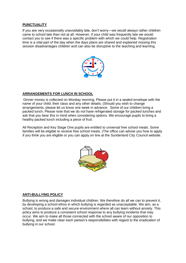### **PUNCTUALITY**

If you are very occasionally unavoidably late, don't worry—we would always rather children came to school late than not at all. However, if your child was frequently late we would contact you to see if there was a specific problem with which we could help. Registration time is a vital part of the day when the days plans are shared and explained missing this session disadvantages children and can also be disruptive to the teaching and learning.



### **ARRANGEMENTS FOR LUNCH IN SCHOOL**

Dinner money is collected on Monday morning. Please put it in a sealed envelope with the name of your child, their class and any other details. (Should you wish to change arrangements, please let us know one week in advance. Some of our children bring a packed lunch. Please note that we do not have refrigerated storage for packed lunches and ask that you bear this in mind when considering options. We encourage pupils to bring a healthy packed lunch including a piece of fruit.

All Reception and Key Stage One pupils are entitled to universal free school meals. Some families will be eligible to receive free school meals. (The office can advise you how to apply if you think you are eligible or you can apply on line at the Sunderland City Council website.



### **ANTI-BULLYING POLICY**

Bullying is wrong and damages individual children. We therefore do all we can to prevent it, by developing a school ethos in which bullying is regarded as unacceptable. We aim, as a school, to produce a safe and secure environment where all can learn without anxiety. This policy aims to produce a consistent school response to any bullying incidents that may occur. We aim to make all those connected with the school aware of our opposition to bullying, and we make clear each person's responsibilities with regard to the eradication of bullying in our school.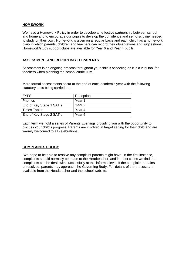### **HOMEWORK**

We have a Homework Policy in order to develop an effective partnership between school and home and to encourage our pupils to develop the confidence and self-discipline needed to study on their own. Homework is given on a regular basis and each child has a homework diary in which parents, children and teachers can record their observations and suggestions. Homework/study support clubs are available for Year 6 and Year 4 pupils.

### **ASSESSMENT AND REPORTING TO PARENTS**

Assessment is an ongoing process throughout your child's schooling as it is a vital tool for teachers when planning the school curriculum.

More formal assessments occur at the end of each academic year with the following statutory tests being carried out:

| <b>EYFS</b>              | Reception         |
|--------------------------|-------------------|
| <b>Phonics</b>           | Year 1            |
| End of Key Stage 1 SAT's | Year <sub>2</sub> |
| <b>Times Tables</b>      | Year 4            |
| End of Key Stage 2 SAT's | Year <sub>6</sub> |

Each term we hold a series of Parents Evenings providing you with the opportunity to discuss your child's progress. Parents are involved in target setting for their child and are warmly welcomed to all celebrations.

### **COMPLAINTS POLICY**

We hope to be able to resolve any complaint parents might have. In the first instance, complaints should normally be made to the Headteacher, and in most cases we find that complaints can be dealt with successfully at this informal level. If the complaint remains unresolved, parents may approach the Governing Body. Full details of the process are available from the Headteacher and the school website.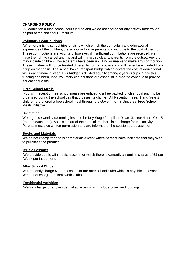### **CHARGING POLICY**

All education during school hours is free and we do not charge for any activity undertaken as part of the National Curriculum.

### **Voluntary Contributions**

When organising school trips or visits which enrich the curriculum and educational experience of the children, the school will invite parents to contribute to the cost of the trip. These contributions are voluntary, however, if insufficient contributions are received, we have the right to cancel any trip and will make this clear to parents from the outset. Any trip may include children whose parents have been unwilling or unable to make any contribution. These children will not be treated differently from any others and will never be excluded from a trip on that basis. The school has a transport budget which covers the cost of educational visits each financial year. This budget is divided equally amongst year groups. Once this funding has been used, voluntary contributions are essential in order to continue to provide educational visits.

### **Free School Meals**

Pupils in receipt of free school meals are entitled to a free packed lunch should any trip be organised during the school day that crosses lunchtime. All Reception, Year 1 and Year 2 children are offered a free school meal through the Government's Universal Free School Meals initiative.

### **Swimming**

We organise weekly swimming lessons for Key Stage 2 pupils in Years 3, Year 4 and Year 5 (rotated each term) As this is part of the curriculum, there is no charge for this activity. Parents must give written permission and are informed of the session dates each term.

### **Books and Materials**

We do not charge for books or materials except where parents have indicated that they wish to purchase the product.

### **Music Lessons**

We provide pupils with music lessons for which there is currently a nominal charge of £1 per Week per instrument.

### **After School Clubs**

We presently charge £1 per session for our after school clubs which is payable in advance. We do not charge for Homework Clubs.

### **Residential Activities**

We will charge for any residential activities which include board and lodgings.